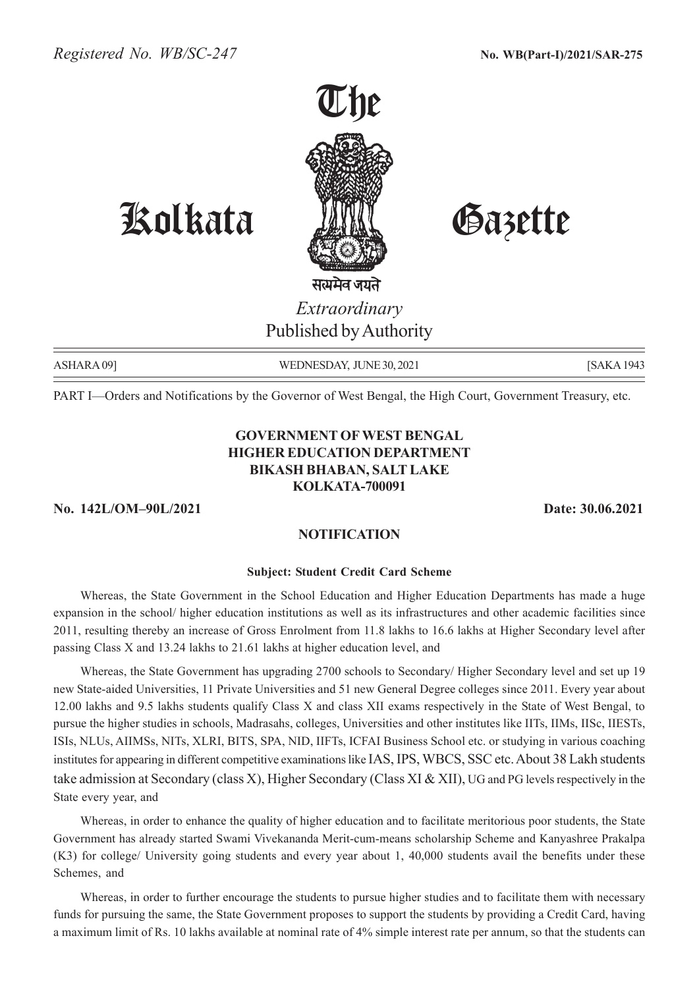

सत्यमेव जयते *Extraordinary* Published by Authority

Kolkata Gazette

ASHARA 09] WEDNESDAY, JUNE 30, 2021 [SAKA 1943]

PART I—Orders and Notifications by the Governor of West Bengal, the High Court, Government Treasury, etc.

# **GOVERNMENT OF WEST BENGAL HIGHER EDUCATION DEPARTMENT BIKASH BHABAN, SALT LAKE KOLKATA-700091**

**No. 142L/OM–90L/2021 Date: 30.06.2021**

# **NOTIFICATION**

#### **Subject: Student Credit Card Scheme**

Whereas, the State Government in the School Education and Higher Education Departments has made a huge expansion in the school/ higher education institutions as well as its infrastructures and other academic facilities since 2011, resulting thereby an increase of Gross Enrolment from 11.8 lakhs to 16.6 lakhs at Higher Secondary level after passing Class X and 13.24 lakhs to 21.61 lakhs at higher education level, and

Whereas, the State Government has upgrading 2700 schools to Secondary/ Higher Secondary level and set up 19 new State-aided Universities, 11 Private Universities and 51 new General Degree colleges since 2011. Every year about 12.00 lakhs and 9.5 lakhs students qualify Class X and class XII exams respectively in the State of West Bengal, to pursue the higher studies in schools, Madrasahs, colleges, Universities and other institutes like IITs, IIMs, IISc, IIESTs, ISIs, NLUs, AIIMSs, NITs, XLRI, BITS, SPA, NID, IIFTs, ICFAI Business School etc. or studying in various coaching institutes for appearing in different competitive examinations like IAS, IPS, WBCS, SSC etc. About 38 Lakh students take admission at Secondary (class X), Higher Secondary (Class XI & XII), UG and PG levels respectively in the State every year, and

Whereas, in order to enhance the quality of higher education and to facilitate meritorious poor students, the State Government has already started Swami Vivekananda Merit-cum-means scholarship Scheme and Kanyashree Prakalpa (K3) for college/ University going students and every year about 1, 40,000 students avail the benefits under these Schemes, and

Whereas, in order to further encourage the students to pursue higher studies and to facilitate them with necessary funds for pursuing the same, the State Government proposes to support the students by providing a Credit Card, having a maximum limit of Rs. 10 lakhs available at nominal rate of 4% simple interest rate per annum, so that the students can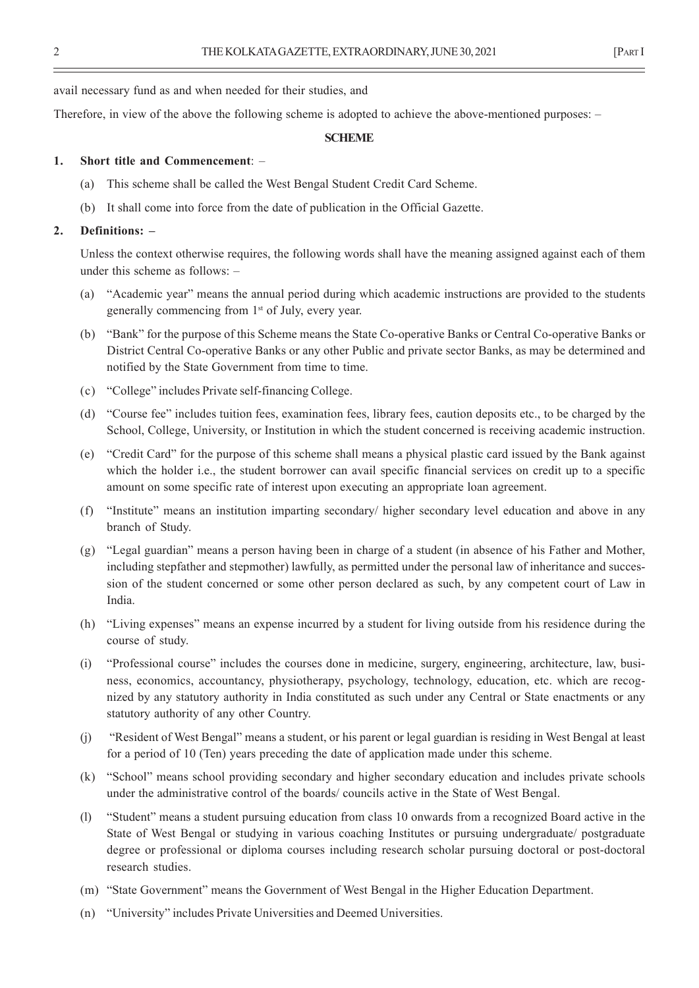avail necessary fund as and when needed for their studies, and

Therefore, in view of the above the following scheme is adopted to achieve the above-mentioned purposes: –

#### **SCHEME**

### **1. Short title and Commencement**: –

- (a) This scheme shall be called the West Bengal Student Credit Card Scheme.
- (b) It shall come into force from the date of publication in the Official Gazette.

# **2. Definitions: –**

Unless the context otherwise requires, the following words shall have the meaning assigned against each of them under this scheme as follows: –

- (a) "Academic year" means the annual period during which academic instructions are provided to the students generally commencing from 1st of July, every year.
- (b) "Bank" for the purpose of this Scheme means the State Co-operative Banks or Central Co-operative Banks or District Central Co-operative Banks or any other Public and private sector Banks, as may be determined and notified by the State Government from time to time.
- (c) "College" includes Private self-financing College.
- (d) "Course fee" includes tuition fees, examination fees, library fees, caution deposits etc., to be charged by the School, College, University, or Institution in which the student concerned is receiving academic instruction.
- (e) "Credit Card" for the purpose of this scheme shall means a physical plastic card issued by the Bank against which the holder i.e., the student borrower can avail specific financial services on credit up to a specific amount on some specific rate of interest upon executing an appropriate loan agreement.
- (f) "Institute" means an institution imparting secondary/ higher secondary level education and above in any branch of Study.
- (g) "Legal guardian" means a person having been in charge of a student (in absence of his Father and Mother, including stepfather and stepmother) lawfully, as permitted under the personal law of inheritance and succession of the student concerned or some other person declared as such, by any competent court of Law in India.
- (h) "Living expenses" means an expense incurred by a student for living outside from his residence during the course of study.
- (i) "Professional course" includes the courses done in medicine, surgery, engineering, architecture, law, business, economics, accountancy, physiotherapy, psychology, technology, education, etc. which are recognized by any statutory authority in India constituted as such under any Central or State enactments or any statutory authority of any other Country.
- (j) "Resident of West Bengal" means a student, or his parent or legal guardian is residing in West Bengal at least for a period of 10 (Ten) years preceding the date of application made under this scheme.
- (k) "School" means school providing secondary and higher secondary education and includes private schools under the administrative control of the boards/ councils active in the State of West Bengal.
- (l) "Student" means a student pursuing education from class 10 onwards from a recognized Board active in the State of West Bengal or studying in various coaching Institutes or pursuing undergraduate/ postgraduate degree or professional or diploma courses including research scholar pursuing doctoral or post-doctoral research studies.
- (m) "State Government" means the Government of West Bengal in the Higher Education Department.
- (n) "University" includes Private Universities and Deemed Universities.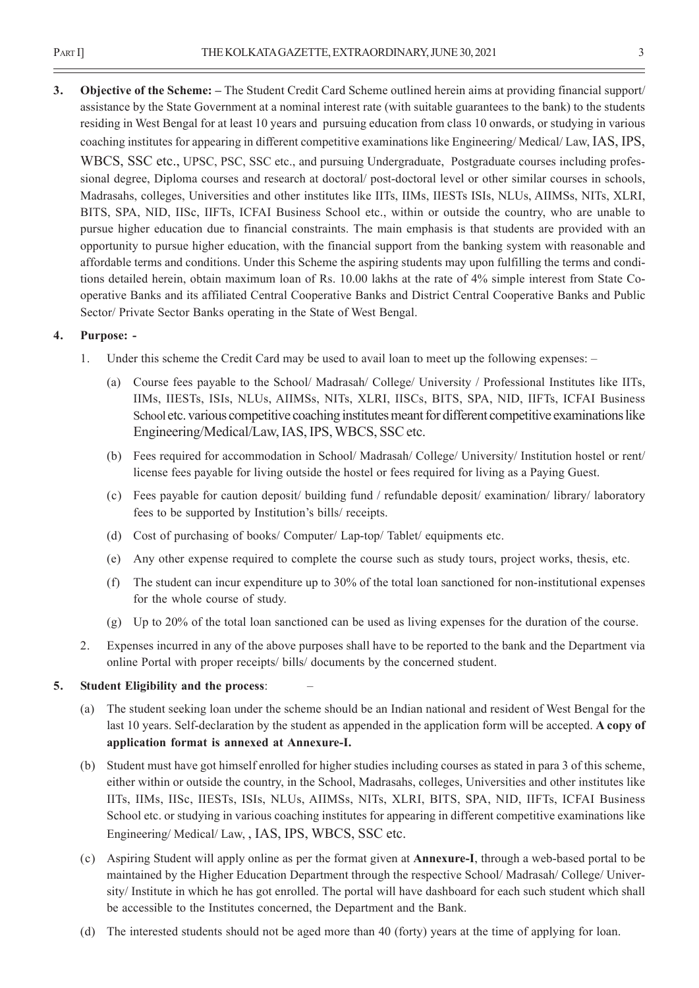**3. Objective of the Scheme: –** The Student Credit Card Scheme outlined herein aims at providing financial support/ assistance by the State Government at a nominal interest rate (with suitable guarantees to the bank) to the students residing in West Bengal for at least 10 years and pursuing education from class 10 onwards, or studying in various coaching institutes for appearing in different competitive examinations like Engineering/ Medical/ Law, IAS, IPS, WBCS, SSC etc., UPSC, PSC, SSC etc., and pursuing Undergraduate, Postgraduate courses including professional degree, Diploma courses and research at doctoral/ post-doctoral level or other similar courses in schools, Madrasahs, colleges, Universities and other institutes like IITs, IIMs, IIESTs ISIs, NLUs, AIIMSs, NITs, XLRI, BITS, SPA, NID, IISc, IIFTs, ICFAI Business School etc., within or outside the country, who are unable to pursue higher education due to financial constraints. The main emphasis is that students are provided with an opportunity to pursue higher education, with the financial support from the banking system with reasonable and affordable terms and conditions. Under this Scheme the aspiring students may upon fulfilling the terms and conditions detailed herein, obtain maximum loan of Rs. 10.00 lakhs at the rate of 4% simple interest from State Cooperative Banks and its affiliated Central Cooperative Banks and District Central Cooperative Banks and Public Sector/ Private Sector Banks operating in the State of West Bengal.

# **4. Purpose: -**

- 1. Under this scheme the Credit Card may be used to avail loan to meet up the following expenses:
	- (a) Course fees payable to the School/ Madrasah/ College/ University / Professional Institutes like IITs, IIMs, IIESTs, ISIs, NLUs, AIIMSs, NITs, XLRI, IISCs, BITS, SPA, NID, IIFTs, ICFAI Business School etc. various competitive coaching institutes meant for different competitive examinations like Engineering/Medical/Law, IAS, IPS, WBCS, SSC etc.
	- (b) Fees required for accommodation in School/ Madrasah/ College/ University/ Institution hostel or rent/ license fees payable for living outside the hostel or fees required for living as a Paying Guest.
	- (c) Fees payable for caution deposit/ building fund / refundable deposit/ examination/ library/ laboratory fees to be supported by Institution's bills/ receipts.
	- (d) Cost of purchasing of books/ Computer/ Lap-top/ Tablet/ equipments etc.
	- (e) Any other expense required to complete the course such as study tours, project works, thesis, etc.
	- (f) The student can incur expenditure up to 30% of the total loan sanctioned for non-institutional expenses for the whole course of study.
	- (g) Up to 20% of the total loan sanctioned can be used as living expenses for the duration of the course.
- 2. Expenses incurred in any of the above purposes shall have to be reported to the bank and the Department via online Portal with proper receipts/ bills/ documents by the concerned student.

# **5. Student Eligibility and the process**: –

- (a) The student seeking loan under the scheme should be an Indian national and resident of West Bengal for the last 10 years. Self-declaration by the student as appended in the application form will be accepted. **A copy of application format is annexed at Annexure-I.**
- (b) Student must have got himself enrolled for higher studies including courses as stated in para 3 of this scheme, either within or outside the country, in the School, Madrasahs, colleges, Universities and other institutes like IITs, IIMs, IISc, IIESTs, ISIs, NLUs, AIIMSs, NITs, XLRI, BITS, SPA, NID, IIFTs, ICFAI Business School etc. or studying in various coaching institutes for appearing in different competitive examinations like Engineering/ Medical/ Law, , IAS, IPS, WBCS, SSC etc.
- (c) Aspiring Student will apply online as per the format given at **Annexure-I**, through a web-based portal to be maintained by the Higher Education Department through the respective School/ Madrasah/ College/ University/ Institute in which he has got enrolled. The portal will have dashboard for each such student which shall be accessible to the Institutes concerned, the Department and the Bank.
- (d) The interested students should not be aged more than 40 (forty) years at the time of applying for loan.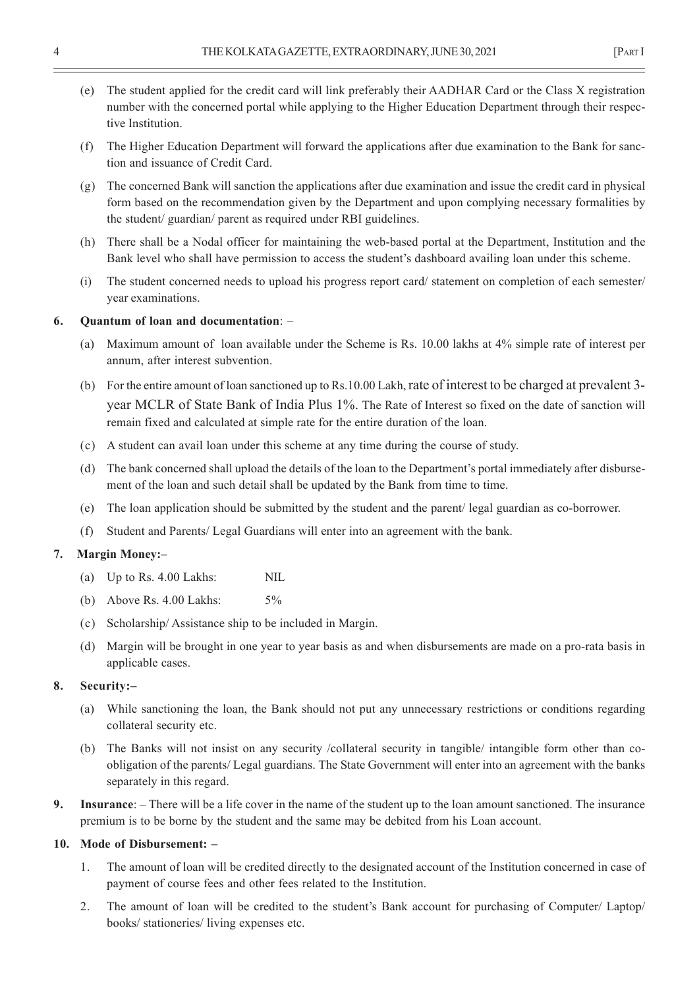- (e) The student applied for the credit card will link preferably their AADHAR Card or the Class X registration number with the concerned portal while applying to the Higher Education Department through their respective Institution.
- (f) The Higher Education Department will forward the applications after due examination to the Bank for sanction and issuance of Credit Card.
- (g) The concerned Bank will sanction the applications after due examination and issue the credit card in physical form based on the recommendation given by the Department and upon complying necessary formalities by the student/ guardian/ parent as required under RBI guidelines.
- (h) There shall be a Nodal officer for maintaining the web-based portal at the Department, Institution and the Bank level who shall have permission to access the student's dashboard availing loan under this scheme.
- (i) The student concerned needs to upload his progress report card/ statement on completion of each semester/ year examinations.

#### **6. Quantum of loan and documentation**: –

- (a) Maximum amount of loan available under the Scheme is Rs. 10.00 lakhs at 4% simple rate of interest per annum, after interest subvention.
- (b) For the entire amount of loan sanctioned up to Rs.10.00 Lakh, rate of interest to be charged at prevalent 3 year MCLR of State Bank of India Plus 1%. The Rate of Interest so fixed on the date of sanction will remain fixed and calculated at simple rate for the entire duration of the loan.
- (c) A student can avail loan under this scheme at any time during the course of study.
- (d) The bank concerned shall upload the details of the loan to the Department's portal immediately after disbursement of the loan and such detail shall be updated by the Bank from time to time.
- (e) The loan application should be submitted by the student and the parent/ legal guardian as co-borrower.
- (f) Student and Parents/ Legal Guardians will enter into an agreement with the bank.

#### **7. Margin Money:–**

- (a) Up to Rs. 4.00 Lakhs: NIL
- (b) Above Rs. 4.00 Lakhs: 5%
- (c) Scholarship/ Assistance ship to be included in Margin.
- (d) Margin will be brought in one year to year basis as and when disbursements are made on a pro-rata basis in applicable cases.

### **8. Security:–**

- (a) While sanctioning the loan, the Bank should not put any unnecessary restrictions or conditions regarding collateral security etc.
- (b) The Banks will not insist on any security /collateral security in tangible/ intangible form other than coobligation of the parents/ Legal guardians. The State Government will enter into an agreement with the banks separately in this regard.
- **9. Insurance**: There will be a life cover in the name of the student up to the loan amount sanctioned. The insurance premium is to be borne by the student and the same may be debited from his Loan account.

#### **10. Mode of Disbursement: –**

- 1. The amount of loan will be credited directly to the designated account of the Institution concerned in case of payment of course fees and other fees related to the Institution.
- 2. The amount of loan will be credited to the student's Bank account for purchasing of Computer/ Laptop/ books/ stationeries/ living expenses etc.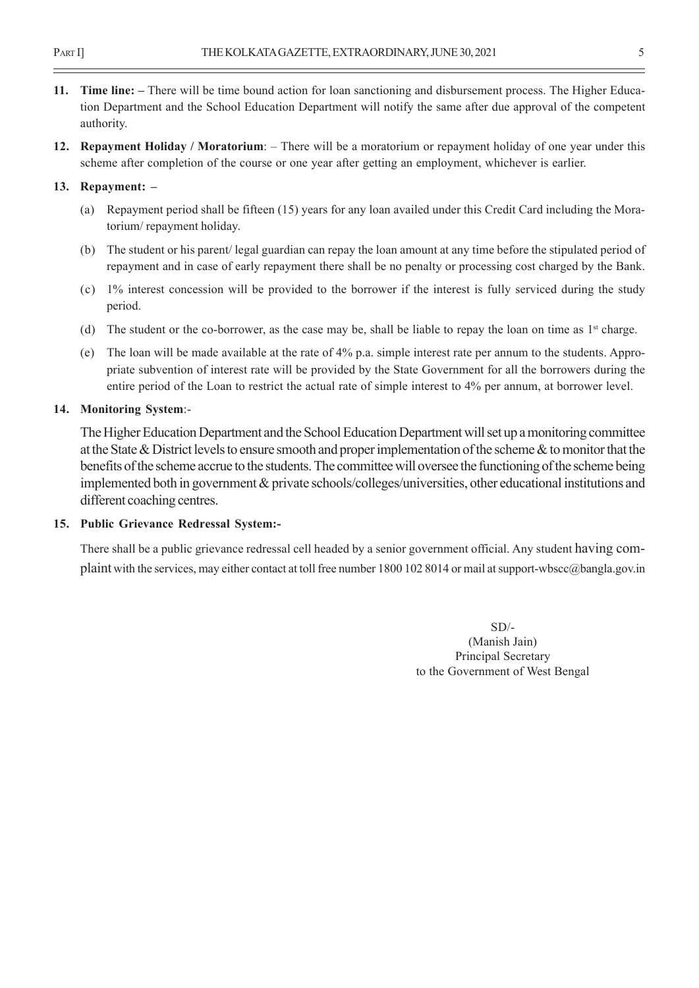- **11. Time line:** There will be time bound action for loan sanctioning and disbursement process. The Higher Education Department and the School Education Department will notify the same after due approval of the competent authority.
- **12. Repayment Holiday / Moratorium**: There will be a moratorium or repayment holiday of one year under this scheme after completion of the course or one year after getting an employment, whichever is earlier.

# **13. Repayment: –**

- (a) Repayment period shall be fifteen (15) years for any loan availed under this Credit Card including the Moratorium/ repayment holiday.
- (b) The student or his parent/ legal guardian can repay the loan amount at any time before the stipulated period of repayment and in case of early repayment there shall be no penalty or processing cost charged by the Bank.
- (c) 1% interest concession will be provided to the borrower if the interest is fully serviced during the study period.
- (d) The student or the co-borrower, as the case may be, shall be liable to repay the loan on time as  $1<sup>st</sup>$  charge.
- (e) The loan will be made available at the rate of 4% p.a. simple interest rate per annum to the students. Appropriate subvention of interest rate will be provided by the State Government for all the borrowers during the entire period of the Loan to restrict the actual rate of simple interest to 4% per annum, at borrower level.

# **14. Monitoring System**:-

The Higher Education Department and the School Education Department will set up a monitoring committee at the State & District levels to ensure smooth and proper implementation of the scheme & to monitor that the benefits of the scheme accrue to the students. The committee will oversee the functioning of the scheme being implemented both in government & private schools/colleges/universities, other educational institutions and different coaching centres.

# **15. Public Grievance Redressal System:-**

There shall be a public grievance redressal cell headed by a senior government official. Any student having complaint with the services, may either contact at toll free number 1800 102 8014 or mail at support-wbscc@bangla.gov.in

> $SD/-$ (Manish Jain) Principal Secretary to the Government of West Bengal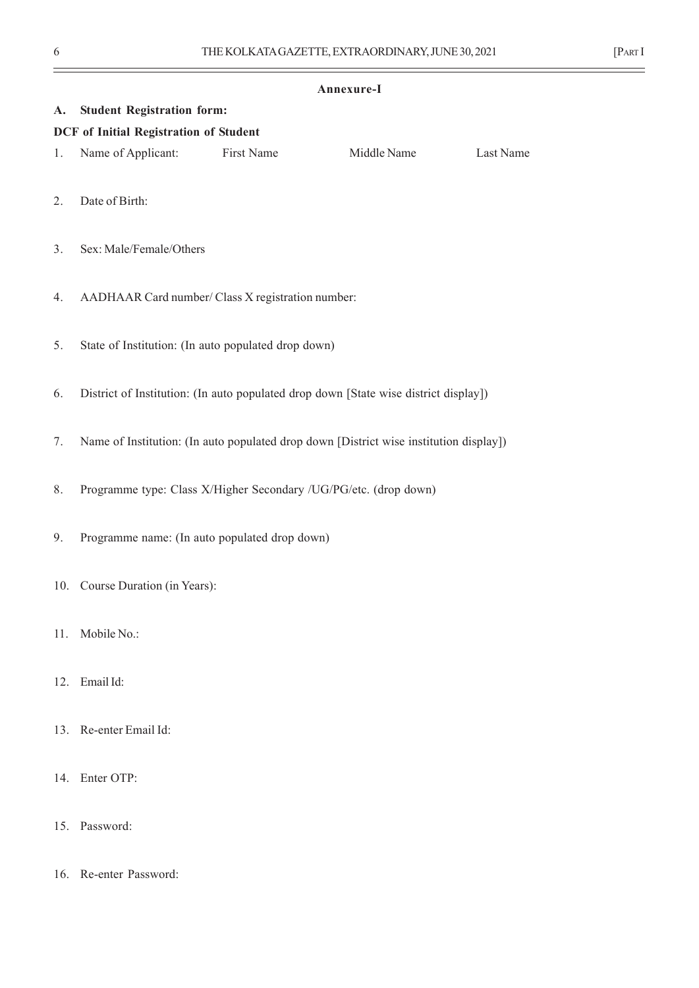# **Annexure-I A. Student Registration form: DCF of Initial Registration of Student** 1. Name of Applicant: First Name Middle Name Last Name 2. Date of Birth: 3. Sex: Male/Female/Others 4. AADHAAR Card number/ Class X registration number: 5. State of Institution: (In auto populated drop down) 6. District of Institution: (In auto populated drop down [State wise district display]) 7. Name of Institution: (In auto populated drop down [District wise institution display]) 8. Programme type: Class X/Higher Secondary /UG/PG/etc. (drop down) 9. Programme name: (In auto populated drop down) 10. Course Duration (in Years): 11. Mobile No.: 12. Email Id: 13. Re-enter Email Id: 14. Enter OTP:

- 15. Password:
- 16. Re-enter Password: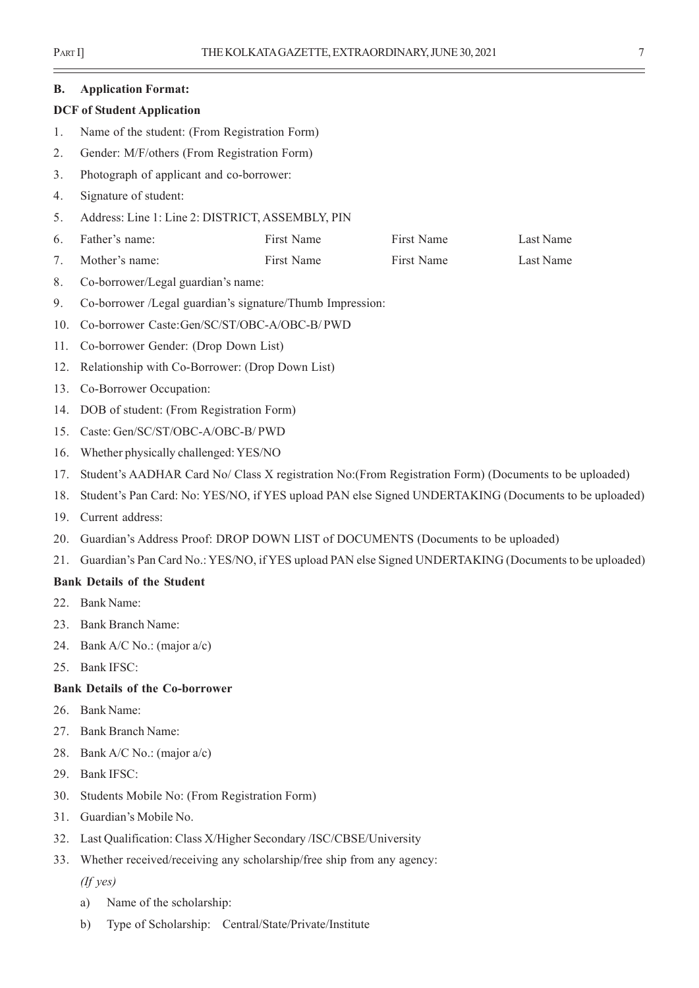| <b>B.</b> | <b>Application Format:</b>                                                                             |            |            |           |  |
|-----------|--------------------------------------------------------------------------------------------------------|------------|------------|-----------|--|
|           | <b>DCF</b> of Student Application                                                                      |            |            |           |  |
| 1.        | Name of the student: (From Registration Form)                                                          |            |            |           |  |
| 2.        | Gender: M/F/others (From Registration Form)                                                            |            |            |           |  |
| 3.        | Photograph of applicant and co-borrower:                                                               |            |            |           |  |
| 4.        | Signature of student:                                                                                  |            |            |           |  |
| 5.        | Address: Line 1: Line 2: DISTRICT, ASSEMBLY, PIN                                                       |            |            |           |  |
| 6.        | Father's name:                                                                                         | First Name | First Name | Last Name |  |
| 7.        | Mother's name:                                                                                         | First Name | First Name | Last Name |  |
| 8.        | Co-borrower/Legal guardian's name:                                                                     |            |            |           |  |
| 9.        | Co-borrower /Legal guardian's signature/Thumb Impression:                                              |            |            |           |  |
| 10.       | Co-borrower Caste:Gen/SC/ST/OBC-A/OBC-B/ PWD                                                           |            |            |           |  |
| 11.       | Co-borrower Gender: (Drop Down List)                                                                   |            |            |           |  |
| 12.       | Relationship with Co-Borrower: (Drop Down List)                                                        |            |            |           |  |
| 13.       | Co-Borrower Occupation:                                                                                |            |            |           |  |
| 14.       | DOB of student: (From Registration Form)                                                               |            |            |           |  |
| 15.       | Caste: Gen/SC/ST/OBC-A/OBC-B/ PWD                                                                      |            |            |           |  |
| 16.       | Whether physically challenged: YES/NO                                                                  |            |            |           |  |
| 17.       | Student's AADHAR Card No/ Class X registration No: (From Registration Form) (Documents to be uploaded) |            |            |           |  |
| 18.       | Student's Pan Card: No: YES/NO, if YES upload PAN else Signed UNDERTAKING (Documents to be uploaded)   |            |            |           |  |
| 19.       | Current address:                                                                                       |            |            |           |  |
| 20.       | Guardian's Address Proof: DROP DOWN LIST of DOCUMENTS (Documents to be uploaded)                       |            |            |           |  |
| 21.       | Guardian's Pan Card No.: YES/NO, if YES upload PAN else Signed UNDERTAKING (Documents to be uploaded)  |            |            |           |  |
|           | <b>Bank Details of the Student</b>                                                                     |            |            |           |  |
| 22.       | <b>Bank Name:</b>                                                                                      |            |            |           |  |
| 23.       | <b>Bank Branch Name:</b>                                                                               |            |            |           |  |
| 24.       | Bank A/C No.: (major $a/c$ )                                                                           |            |            |           |  |
| 25.       | <b>Bank IFSC:</b>                                                                                      |            |            |           |  |
|           | <b>Bank Details of the Co-borrower</b>                                                                 |            |            |           |  |
| 26.       | <b>Bank Name:</b>                                                                                      |            |            |           |  |
| 27.       | <b>Bank Branch Name:</b>                                                                               |            |            |           |  |
| 28.       | Bank $A/C$ No.: (major $a/c$ )                                                                         |            |            |           |  |
| 29.       | <b>Bank IFSC:</b>                                                                                      |            |            |           |  |
| 30.       | Students Mobile No: (From Registration Form)                                                           |            |            |           |  |
| 31.       | Guardian's Mobile No.                                                                                  |            |            |           |  |
|           | 32. Last Qualification: Class X/Higher Secondary /ISC/CBSE/University                                  |            |            |           |  |

- 33. Whether received/receiving any scholarship/free ship from any agency:
	- *(If yes)*
	- a) Name of the scholarship:
	- b) Type of Scholarship: Central/State/Private/Institute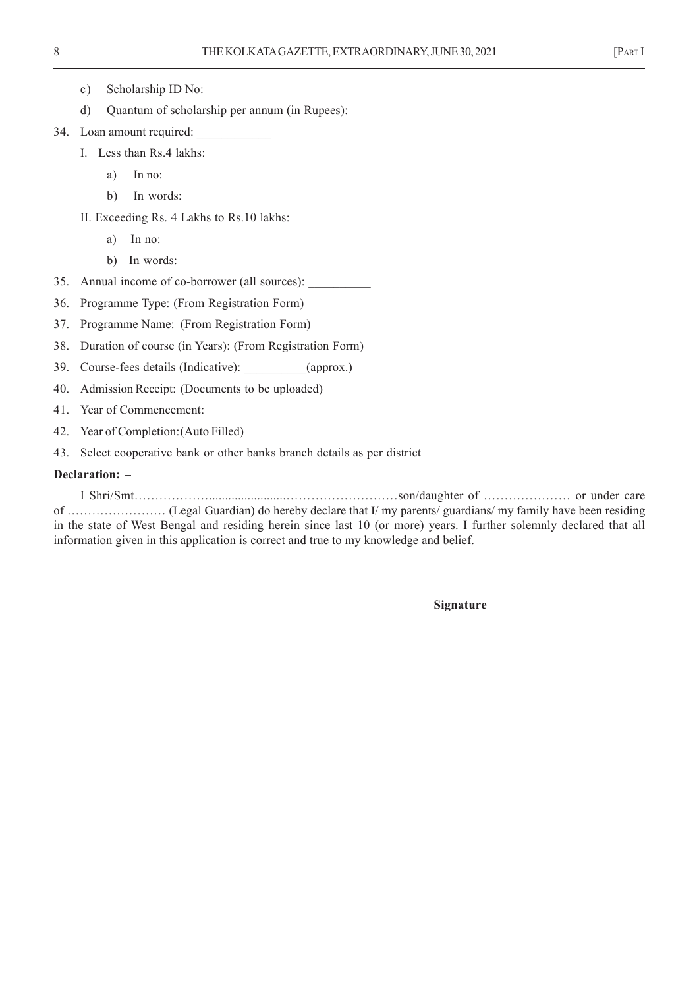- c) Scholarship ID No:
- d) Quantum of scholarship per annum (in Rupees):
- 34. Loan amount required:
	- I. Less than Rs.4 lakhs:
		- a) In no:
		- b) In words:
	- II. Exceeding Rs. 4 Lakhs to Rs.10 lakhs:
		- a) In no:
		- b) In words:
- 35. Annual income of co-borrower (all sources):
- 36. Programme Type: (From Registration Form)
- 37. Programme Name: (From Registration Form)
- 38. Duration of course (in Years): (From Registration Form)
- 39. Course-fees details (Indicative): (approx.)
- 40. Admission Receipt: (Documents to be uploaded)
- 41. Year of Commencement:
- 42. Year of Completion:(Auto Filled)
- 43. Select cooperative bank or other banks branch details as per district

# **Declaration: –**

I Shri/Smt………………........................………………………son/daughter of ………………… or under care of …………………… (Legal Guardian) do hereby declare that I/ my parents/ guardians/ my family have been residing in the state of West Bengal and residing herein since last 10 (or more) years. I further solemnly declared that all information given in this application is correct and true to my knowledge and belief.

**Signature**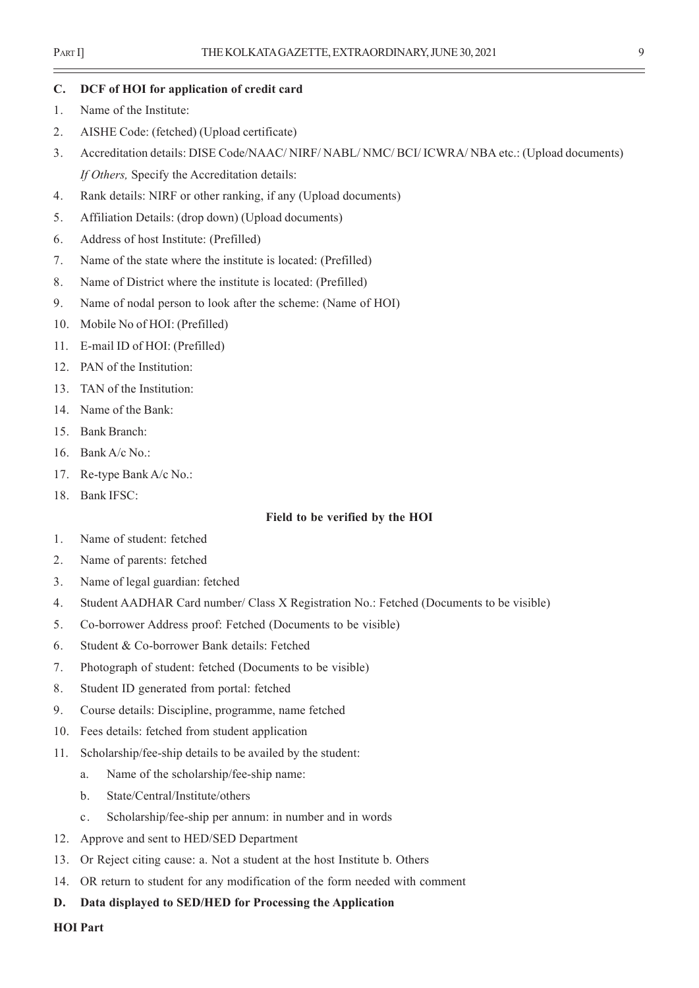#### **C. DCF of HOI for application of credit card**

- 1. Name of the Institute:
- 2. AISHE Code: (fetched) (Upload certificate)
- 3. Accreditation details: DISE Code/NAAC/ NIRF/ NABL/ NMC/ BCI/ ICWRA/ NBA etc.: (Upload documents) *If Others,* Specify the Accreditation details:
- 4. Rank details: NIRF or other ranking, if any (Upload documents)
- 5. Affiliation Details: (drop down) (Upload documents)
- 6. Address of host Institute: (Prefilled)
- 7. Name of the state where the institute is located: (Prefilled)
- 8. Name of District where the institute is located: (Prefilled)
- 9. Name of nodal person to look after the scheme: (Name of HOI)
- 10. Mobile No of HOI: (Prefilled)
- 11. E-mail ID of HOI: (Prefilled)
- 12. PAN of the Institution:
- 13. TAN of the Institution:
- 14. Name of the Bank:
- 15. Bank Branch:
- 16. Bank A/c No.:
- 17. Re-type Bank A/c No.:
- 18. Bank IFSC:

#### **Field to be verified by the HOI**

- 1. Name of student: fetched
- 2. Name of parents: fetched
- 3. Name of legal guardian: fetched
- 4. Student AADHAR Card number/ Class X Registration No.: Fetched (Documents to be visible)
- 5. Co-borrower Address proof: Fetched (Documents to be visible)
- 6. Student & Co-borrower Bank details: Fetched
- 7. Photograph of student: fetched (Documents to be visible)
- 8. Student ID generated from portal: fetched
- 9. Course details: Discipline, programme, name fetched
- 10. Fees details: fetched from student application
- 11. Scholarship/fee-ship details to be availed by the student:
	- a. Name of the scholarship/fee-ship name:
	- b. State/Central/Institute/others
	- c. Scholarship/fee-ship per annum: in number and in words
- 12. Approve and sent to HED/SED Department
- 13. Or Reject citing cause: a. Not a student at the host Institute b. Others
- 14. OR return to student for any modification of the form needed with comment
- **D. Data displayed to SED/HED for Processing the Application**

**HOI Part**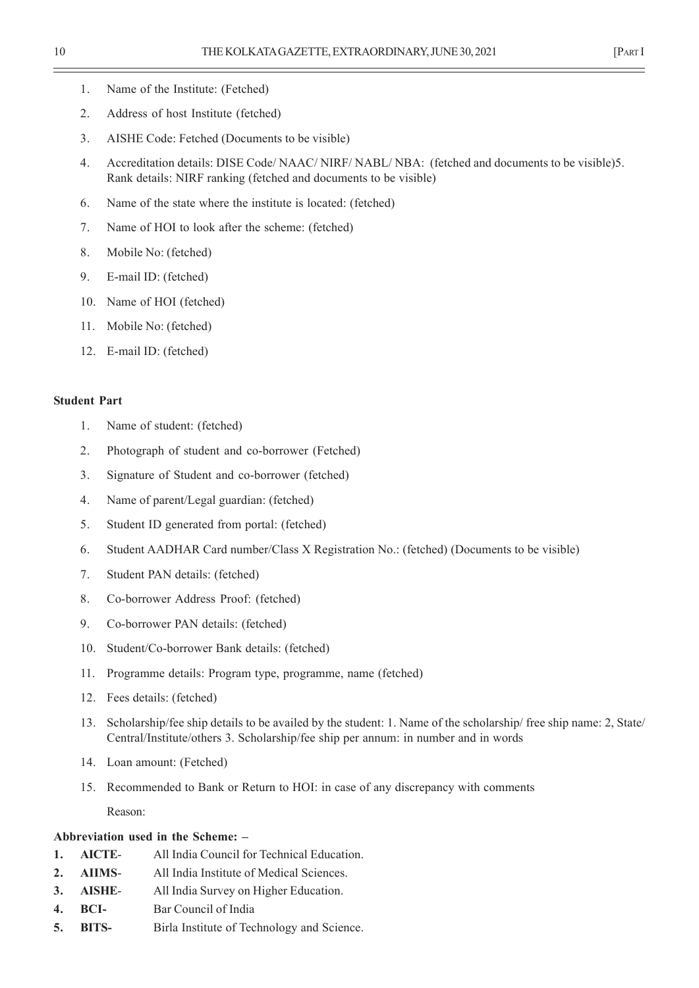- 1. Name of the Institute: (Fetched)
- 2. Address of host Institute (fetched)
- 3. AISHE Code: Fetched (Documents to be visible)
- 4. Accreditation details: DISE Code/ NAAC/ NIRF/ NABL/ NBA: (fetched and documents to be visible)5. Rank details: NIRF ranking (fetched and documents to be visible)
- 6. Name of the state where the institute is located: (fetched)
- 7. Name of HOI to look after the scheme: (fetched)
- 8. Mobile No: (fetched)
- 9. E-mail ID: (fetched)
- 10. Name of HOI (fetched)
- 11. Mobile No: (fetched)
- 12. E-mail ID: (fetched)

# **Student Part**

- 1. Name of student: (fetched)
- 2. Photograph of student and co-borrower (Fetched)
- 3. Signature of Student and co-borrower (fetched)
- 4. Name of parent/Legal guardian: (fetched)
- 5. Student ID generated from portal: (fetched)
- 6. Student AADHAR Card number/Class X Registration No.: (fetched) (Documents to be visible)
- 7. Student PAN details: (fetched)
- 8. Co-borrower Address Proof: (fetched)
- 9. Co-borrower PAN details: (fetched)
- 10. Student/Co-borrower Bank details: (fetched)
- 11. Programme details: Program type, programme, name (fetched)
- 12. Fees details: (fetched)
- 13. Scholarship/fee ship details to be availed by the student: 1. Name of the scholarship/ free ship name: 2, State/ Central/Institute/others 3. Scholarship/fee ship per annum: in number and in words
- 14. Loan amount: (Fetched)
- 15. Recommended to Bank or Return to HOI: in case of any discrepancy with comments

Reason:

# **Abbreviation used in the Scheme: –**

- **1. AICTE** All India Council for Technical Education.
- **2. AIIMS** All India Institute of Medical Sciences.
- **3. AISHE** All India Survey on Higher Education.
- **4. BCI-** Bar Council of India
- **5. BITS-** Birla Institute of Technology and Science.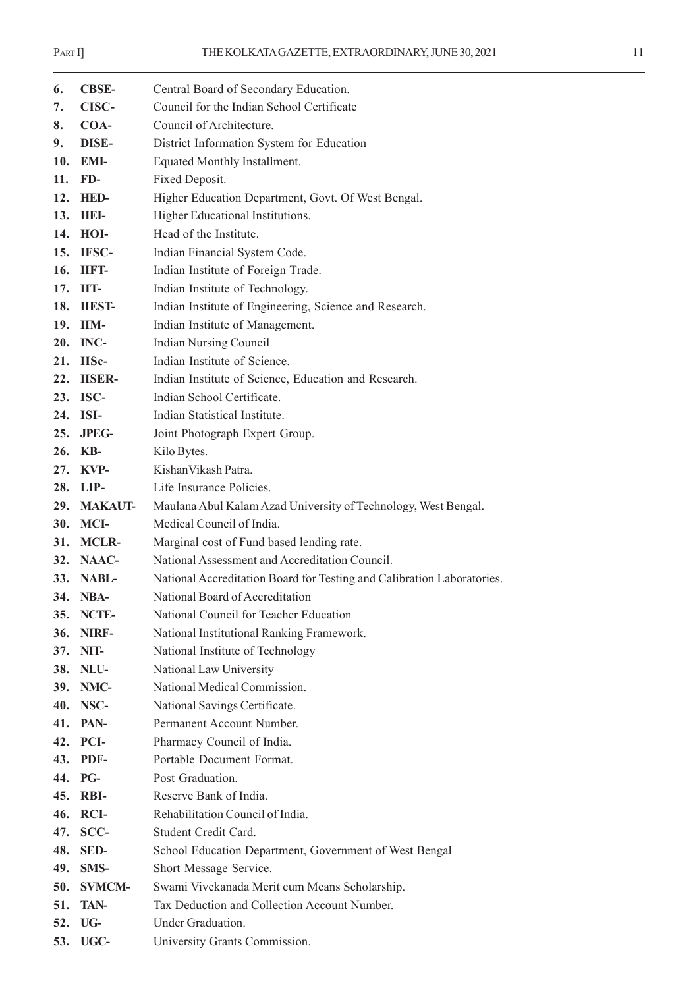$\equiv$ 

| 6.  | <b>CBSE-</b>   | Central Board of Secondary Education.                                  |
|-----|----------------|------------------------------------------------------------------------|
| 7.  | CISC-          | Council for the Indian School Certificate                              |
| 8.  | COA-           | Council of Architecture.                                               |
| 9.  | DISE-          | District Information System for Education                              |
| 10. | EMI-           | Equated Monthly Installment.                                           |
| 11. | FD-            | Fixed Deposit.                                                         |
| 12. | <b>HED-</b>    | Higher Education Department, Govt. Of West Bengal.                     |
| 13. | HEI-           | Higher Educational Institutions.                                       |
| 14. | HOI-           | Head of the Institute.                                                 |
| 15. | IFSC-          | Indian Financial System Code.                                          |
| 16. | IIFT-          | Indian Institute of Foreign Trade.                                     |
| 17. | IIT-           | Indian Institute of Technology.                                        |
| 18. | <b>IIEST-</b>  | Indian Institute of Engineering, Science and Research.                 |
| 19. | IIM-           | Indian Institute of Management.                                        |
| 20. | INC-           | <b>Indian Nursing Council</b>                                          |
| 21. | IISc-          | Indian Institute of Science.                                           |
| 22. | <b>IISER-</b>  | Indian Institute of Science, Education and Research.                   |
|     | 23. ISC-       | Indian School Certificate.                                             |
| 24. | ISI-           | Indian Statistical Institute.                                          |
| 25. | <b>JPEG-</b>   | Joint Photograph Expert Group.                                         |
| 26. | KB-            | Kilo Bytes.                                                            |
| 27. | KVP-           | Kishan Vikash Patra.                                                   |
| 28. | LIP-           | Life Insurance Policies.                                               |
| 29. | <b>MAKAUT-</b> | Maulana Abul Kalam Azad University of Technology, West Bengal.         |
| 30. | MCI-           | Medical Council of India.                                              |
| 31. | <b>MCLR-</b>   | Marginal cost of Fund based lending rate.                              |
| 32. | NAAC-          | National Assessment and Accreditation Council.                         |
| 33. | NABL-          | National Accreditation Board for Testing and Calibration Laboratories. |
| 34. | NBA-           | National Board of Accreditation                                        |
| 35. | NCTE-          | National Council for Teacher Education                                 |
| 36. | NIRF-          | National Institutional Ranking Framework.                              |
| 37. | NIT-           | National Institute of Technology                                       |
| 38. | NLU-           | National Law University                                                |
| 39. | NMC-           | National Medical Commission.                                           |
| 40. | NSC-           | National Savings Certificate.                                          |
| 41. | PAN-           | Permanent Account Number.                                              |
| 42. | PCI-           | Pharmacy Council of India.                                             |
| 43. | PDF-           | Portable Document Format.                                              |
| 44. | PG-            | Post Graduation.                                                       |
| 45. | RBI-           | Reserve Bank of India.                                                 |
| 46. | <b>RCI-</b>    | Rehabilitation Council of India.                                       |
| 47. | SCC-           | Student Credit Card.                                                   |
| 48. | SED-           | School Education Department, Government of West Bengal                 |
| 49. | SMS-           | Short Message Service.                                                 |
| 50. | <b>SVMCM-</b>  | Swami Vivekanada Merit cum Means Scholarship.                          |
| 51. | TAN-           | Tax Deduction and Collection Account Number.                           |
| 52. | UG-            | Under Graduation.                                                      |
| 53. | UGC-           | University Grants Commission.                                          |
|     |                |                                                                        |